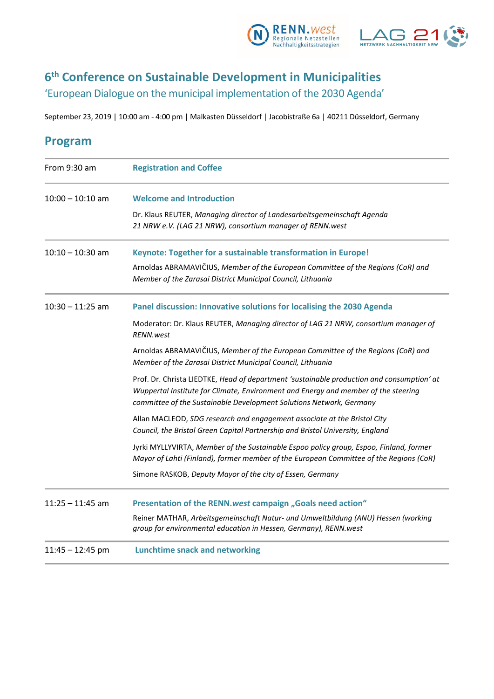



# **6 th Conference on Sustainable Development in Municipalities**

'European Dialogue on the municipal implementation of the 2030 Agenda'

September 23, 2019 | 10:00 am - 4:00 pm | Malkasten Düsseldorf | Jacobistraße 6a | 40211 Düsseldorf, Germany

| From 9:30 am       | <b>Registration and Coffee</b>                                                                                                                                                                                                                         |
|--------------------|--------------------------------------------------------------------------------------------------------------------------------------------------------------------------------------------------------------------------------------------------------|
| $10:00 - 10:10$ am | <b>Welcome and Introduction</b>                                                                                                                                                                                                                        |
|                    | Dr. Klaus REUTER, Managing director of Landesarbeitsgemeinschaft Agenda<br>21 NRW e.V. (LAG 21 NRW), consortium manager of RENN.west                                                                                                                   |
| $10:10 - 10:30$ am | Keynote: Together for a sustainable transformation in Europe!                                                                                                                                                                                          |
|                    | Arnoldas ABRAMAVIČIUS, Member of the European Committee of the Regions (CoR) and<br>Member of the Zarasai District Municipal Council, Lithuania                                                                                                        |
| $10:30 - 11:25$ am | Panel discussion: Innovative solutions for localising the 2030 Agenda                                                                                                                                                                                  |
|                    | Moderator: Dr. Klaus REUTER, Managing director of LAG 21 NRW, consortium manager of<br><b>RENN.west</b>                                                                                                                                                |
|                    | Arnoldas ABRAMAVIČIUS, Member of the European Committee of the Regions (CoR) and<br>Member of the Zarasai District Municipal Council, Lithuania                                                                                                        |
|                    | Prof. Dr. Christa LIEDTKE, Head of department 'sustainable production and consumption' at<br>Wuppertal Institute for Climate, Environment and Energy and member of the steering<br>committee of the Sustainable Development Solutions Network, Germany |
|                    | Allan MACLEOD, SDG research and engagement associate at the Bristol City<br>Council, the Bristol Green Capital Partnership and Bristol University, England                                                                                             |
|                    | Jyrki MYLLYVIRTA, Member of the Sustainable Espoo policy group, Espoo, Finland, former<br>Mayor of Lahti (Finland), former member of the European Committee of the Regions (CoR)                                                                       |
|                    | Simone RASKOB, Deputy Mayor of the city of Essen, Germany                                                                                                                                                                                              |
| $11:25 - 11:45$ am | Presentation of the RENN.west campaign "Goals need action"                                                                                                                                                                                             |
|                    | Reiner MATHAR, Arbeitsgemeinschaft Natur- und Umweltbildung (ANU) Hessen (working<br>group for environmental education in Hessen, Germany), RENN.west                                                                                                  |
| $11:45 - 12:45$ pm | <b>Lunchtime snack and networking</b>                                                                                                                                                                                                                  |